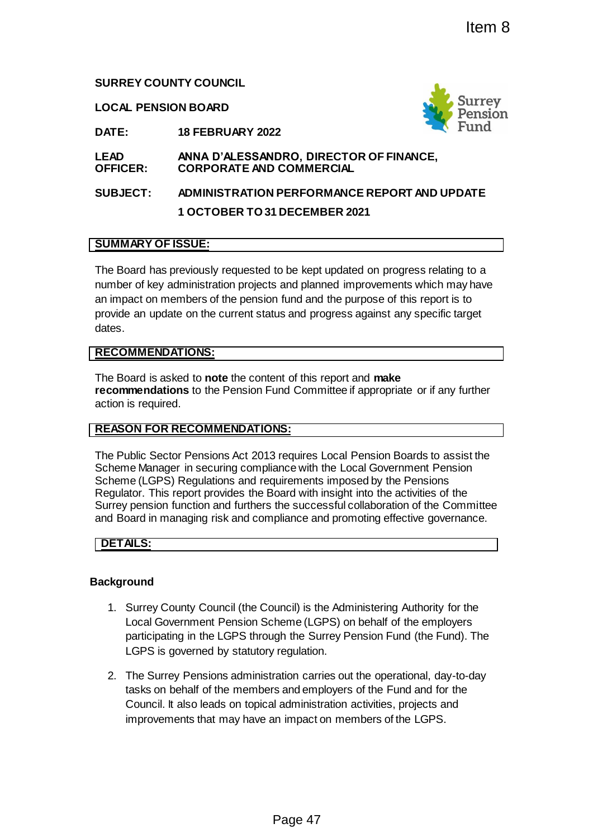#### **SURREY COUNTY COUNCIL**

**LOCAL PENSION BOARD**



**DATE: 18 FEBRUARY 2022**

#### **LEAD OFFICER: ANNA D'ALESSANDRO, DIRECTOR OF FINANCE, CORPORATE AND COMMERCIAL**

# **SUBJECT: ADMINISTRATION PERFORMANCE REPORT AND UPDATE 1 OCTOBER TO 31 DECEMBER 2021**

#### **SUMMARY OF ISSUE:**

The Board has previously requested to be kept updated on progress relating to a number of key administration projects and planned improvements which may have an impact on members of the pension fund and the purpose of this report is to provide an update on the current status and progress against any specific target dates.

#### **RECOMMENDATIONS:**

The Board is asked to **note** the content of this report and **make recommendations** to the Pension Fund Committee if appropriate or if any further action is required.

#### **REASON FOR RECOMMENDATIONS:**

The Public Sector Pensions Act 2013 requires Local Pension Boards to assist the Scheme Manager in securing compliance with the Local Government Pension Scheme (LGPS) Regulations and requirements imposed by the Pensions Regulator. This report provides the Board with insight into the activities of the Surrey pension function and furthers the successful collaboration of the Committee and Board in managing risk and compliance and promoting effective governance. Item 8<br>
Page 47<br>
Page 47<br>
Page 47<br>
Page 47<br>
Page 47<br>
Page 47<br>
Page 47<br>
Page 47<br>
Page 47<br>
Page 47<br>
Page 47<br>
Page 47<br>
Page 47<br>
Page 47<br>
Page 47<br>
Page 47<br>
Page 47<br>
Page 47<br>
Page 47<br>
Page 47<br>
Page 47<br>
Page 47<br>
Page 47<br>
Page 47

#### **DETAILS:**

#### **Background**

- 1. Surrey County Council (the Council) is the Administering Authority for the Local Government Pension Scheme (LGPS) on behalf of the employers participating in the LGPS through the Surrey Pension Fund (the Fund). The LGPS is governed by statutory regulation.
- 2. The Surrey Pensions administration carries out the operational, day-to-day tasks on behalf of the members and employers of the Fund and for the Council. It also leads on topical administration activities, projects and improvements that may have an impact on members of the LGPS.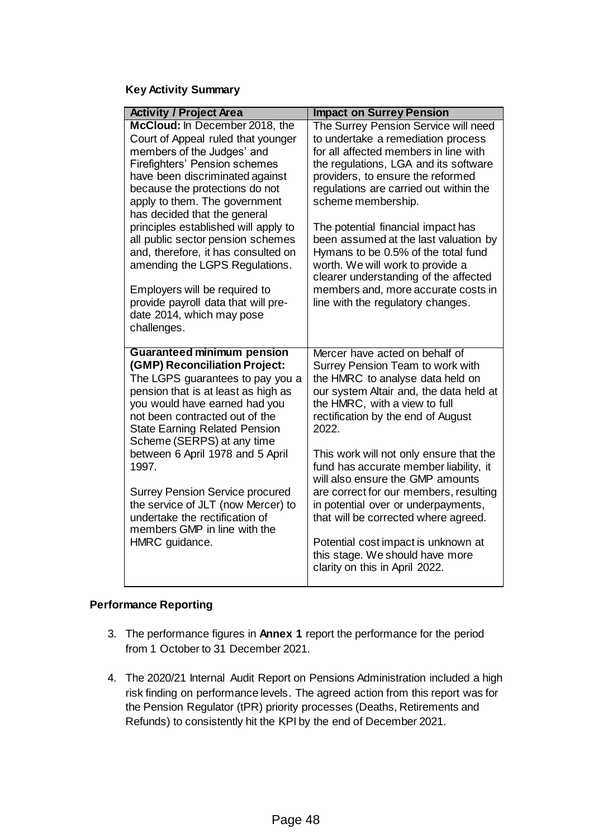# **Key Activity Summary**

| <b>Activity / Project Area</b>                                                                                                                                                                                                                                                                                                                                                                                                                                                                                                                             | <b>Impact on Surrey Pension</b>                                                                                                                                                                                                                                                                                                                                                                                                                                                                                                                                                                 |
|------------------------------------------------------------------------------------------------------------------------------------------------------------------------------------------------------------------------------------------------------------------------------------------------------------------------------------------------------------------------------------------------------------------------------------------------------------------------------------------------------------------------------------------------------------|-------------------------------------------------------------------------------------------------------------------------------------------------------------------------------------------------------------------------------------------------------------------------------------------------------------------------------------------------------------------------------------------------------------------------------------------------------------------------------------------------------------------------------------------------------------------------------------------------|
| McCloud: In December 2018, the<br>Court of Appeal ruled that younger<br>members of the Judges' and<br><b>Firefighters' Pension schemes</b><br>have been discriminated against<br>because the protections do not<br>apply to them. The government<br>has decided that the general<br>principles established will apply to<br>all public sector pension schemes<br>and, therefore, it has consulted on<br>amending the LGPS Regulations.<br>Employers will be required to<br>provide payroll data that will pre-<br>date 2014, which may pose<br>challenges. | The Surrey Pension Service will need<br>to undertake a remediation process<br>for all affected members in line with<br>the regulations, LGA and its software<br>providers, to ensure the reformed<br>regulations are carried out within the<br>scheme membership.<br>The potential financial impact has<br>been assumed at the last valuation by<br>Hymans to be 0.5% of the total fund<br>worth. We will work to provide a<br>clearer understanding of the affected<br>members and, more accurate costs in<br>line with the regulatory changes.                                                |
| <b>Guaranteed minimum pension</b><br>(GMP) Reconciliation Project:<br>The LGPS guarantees to pay you a<br>pension that is at least as high as<br>you would have earned had you<br>not been contracted out of the<br><b>State Earning Related Pension</b><br>Scheme (SERPS) at any time<br>between 6 April 1978 and 5 April<br>1997.<br><b>Surrey Pension Service procured</b><br>the service of JLT (now Mercer) to<br>undertake the rectification of<br>members GMP in line with the<br>HMRC guidance.                                                    | Mercer have acted on behalf of<br>Surrey Pension Team to work with<br>the HMRC to analyse data held on<br>our system Altair and, the data held at<br>the HMRC, with a view to full<br>rectification by the end of August<br>2022.<br>This work will not only ensure that the<br>fund has accurate member liability, it<br>will also ensure the GMP amounts<br>are correct for our members, resulting<br>in potential over or underpayments,<br>that will be corrected where agreed.<br>Potential cost impact is unknown at<br>this stage. We should have more<br>clarity on this in April 2022. |

## **Performance Reporting**

- 3. The performance figures in **Annex 1** report the performance for the period from 1 October to 31 December 2021.
- 4. The 2020/21 Internal Audit Report on Pensions Administration included a high risk finding on performance levels. The agreed action from this report was for the Pension Regulator (tPR) priority processes (Deaths, Retirements and Refunds) to consistently hit the KPI by the end of December 2021.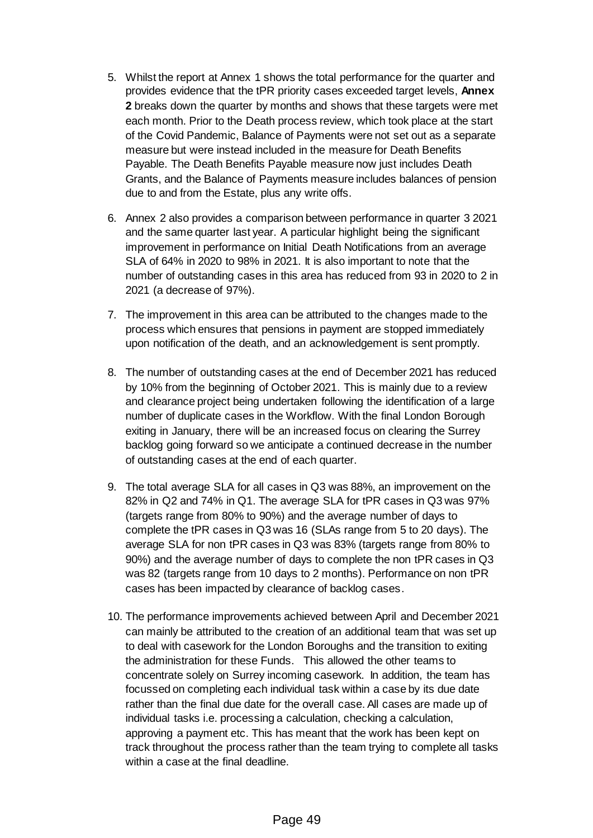- 5. Whilst the report at Annex 1 shows the total performance for the quarter and provides evidence that the tPR priority cases exceeded target levels, **Annex 2** breaks down the quarter by months and shows that these targets were met each month. Prior to the Death process review, which took place at the start of the Covid Pandemic, Balance of Payments were not set out as a separate measure but were instead included in the measure for Death Benefits Payable. The Death Benefits Payable measure now just includes Death Grants, and the Balance of Payments measure includes balances of pension due to and from the Estate, plus any write offs.
- 6. Annex 2 also provides a comparison between performance in quarter 3 2021 and the same quarter last year. A particular highlight being the significant improvement in performance on Initial Death Notifications from an average SLA of 64% in 2020 to 98% in 2021. It is also important to note that the number of outstanding cases in this area has reduced from 93 in 2020 to 2 in 2021 (a decrease of 97%).
- 7. The improvement in this area can be attributed to the changes made to the process which ensures that pensions in payment are stopped immediately upon notification of the death, and an acknowledgement is sent promptly.
- 8. The number of outstanding cases at the end of December 2021 has reduced by 10% from the beginning of October 2021. This is mainly due to a review and clearance project being undertaken following the identification of a large number of duplicate cases in the Workflow. With the final London Borough exiting in January, there will be an increased focus on clearing the Surrey backlog going forward so we anticipate a continued decrease in the number of outstanding cases at the end of each quarter.
- 9. The total average SLA for all cases in Q3 was 88%, an improvement on the 82% in Q2 and 74% in Q1. The average SLA for tPR cases in Q3 was 97% (targets range from 80% to 90%) and the average number of days to complete the tPR cases in Q3 was 16 (SLAs range from 5 to 20 days). The average SLA for non tPR cases in Q3 was 83% (targets range from 80% to 90%) and the average number of days to complete the non tPR cases in Q3 was 82 (targets range from 10 days to 2 months). Performance on non tPR cases has been impacted by clearance of backlog cases.
- 10. The performance improvements achieved between April and December 2021 can mainly be attributed to the creation of an additional team that was set up to deal with casework for the London Boroughs and the transition to exiting the administration for these Funds. This allowed the other teams to concentrate solely on Surrey incoming casework. In addition, the team has focussed on completing each individual task within a case by its due date rather than the final due date for the overall case. All cases are made up of individual tasks i.e. processing a calculation, checking a calculation, approving a payment etc. This has meant that the work has been kept on track throughout the process rather than the team trying to complete all tasks within a case at the final deadline.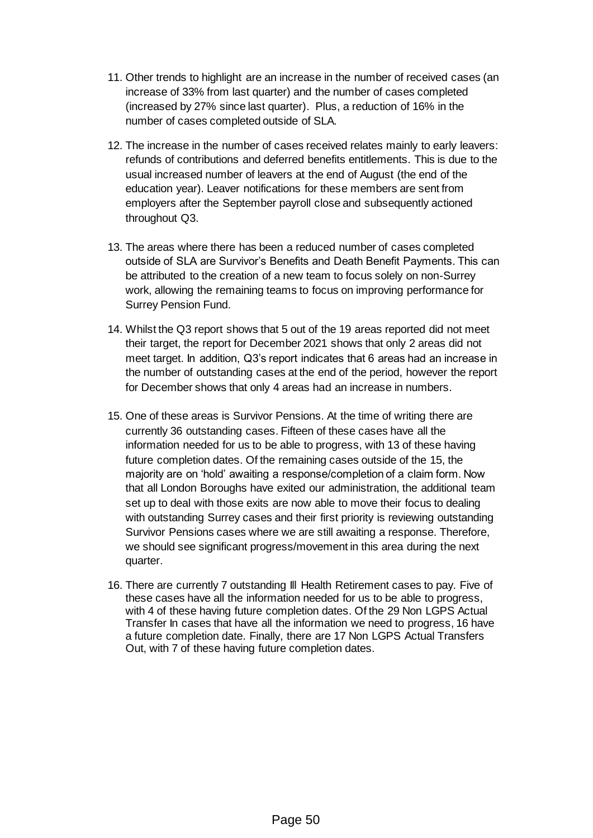- 11. Other trends to highlight are an increase in the number of received cases (an increase of 33% from last quarter) and the number of cases completed (increased by 27% since last quarter). Plus, a reduction of 16% in the number of cases completed outside of SLA.
- 12. The increase in the number of cases received relates mainly to early leavers: refunds of contributions and deferred benefits entitlements. This is due to the usual increased number of leavers at the end of August (the end of the education year). Leaver notifications for these members are sent from employers after the September payroll close and subsequently actioned throughout Q3.
- 13. The areas where there has been a reduced number of cases completed outside of SLA are Survivor's Benefits and Death Benefit Payments. This can be attributed to the creation of a new team to focus solely on non-Surrey work, allowing the remaining teams to focus on improving performance for Surrey Pension Fund.
- 14. Whilst the Q3 report shows that 5 out of the 19 areas reported did not meet their target, the report for December 2021 shows that only 2 areas did not meet target. In addition, Q3's report indicates that 6 areas had an increase in the number of outstanding cases at the end of the period, however the report for December shows that only 4 areas had an increase in numbers.
- 15. One of these areas is Survivor Pensions. At the time of writing there are currently 36 outstanding cases. Fifteen of these cases have all the information needed for us to be able to progress, with 13 of these having future completion dates. Of the remaining cases outside of the 15, the majority are on 'hold' awaiting a response/completion of a claim form. Now that all London Boroughs have exited our administration, the additional team set up to deal with those exits are now able to move their focus to dealing with outstanding Surrey cases and their first priority is reviewing outstanding Survivor Pensions cases where we are still awaiting a response. Therefore, we should see significant progress/movement in this area during the next quarter.
- 16. There are currently 7 outstanding Ill Health Retirement cases to pay. Five of these cases have all the information needed for us to be able to progress, with 4 of these having future completion dates. Of the 29 Non LGPS Actual Transfer In cases that have all the information we need to progress, 16 have a future completion date. Finally, there are 17 Non LGPS Actual Transfers Out, with 7 of these having future completion dates.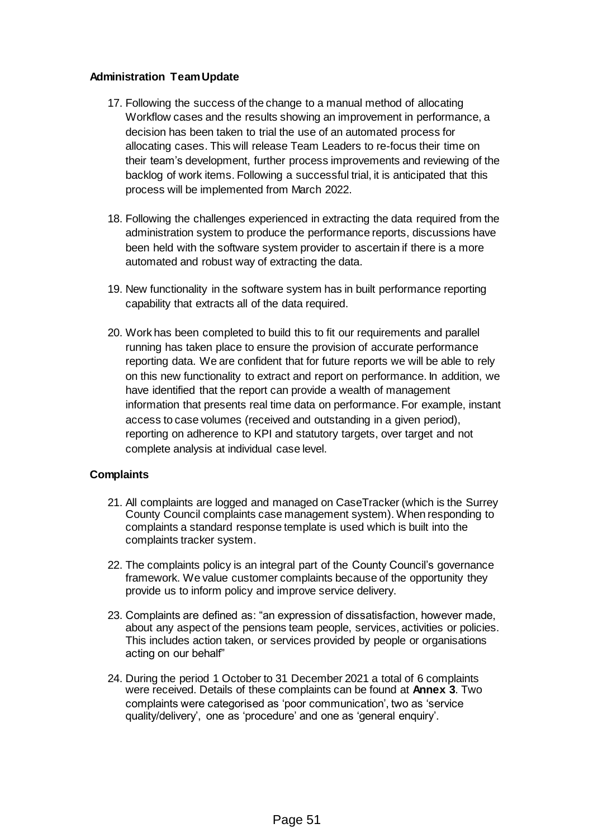### **Administration Team Update**

- 17. Following the success of the change to a manual method of allocating Workflow cases and the results showing an improvement in performance, a decision has been taken to trial the use of an automated process for allocating cases. This will release Team Leaders to re-focus their time on their team's development, further process improvements and reviewing of the backlog of work items. Following a successful trial, it is anticipated that this process will be implemented from March 2022.
- 18. Following the challenges experienced in extracting the data required from the administration system to produce the performance reports, discussions have been held with the software system provider to ascertain if there is a more automated and robust way of extracting the data.
- 19. New functionality in the software system has in built performance reporting capability that extracts all of the data required.
- 20. Work has been completed to build this to fit our requirements and parallel running has taken place to ensure the provision of accurate performance reporting data. We are confident that for future reports we will be able to rely on this new functionality to extract and report on performance. In addition, we have identified that the report can provide a wealth of management information that presents real time data on performance. For example, instant access to case volumes (received and outstanding in a given period), reporting on adherence to KPI and statutory targets, over target and not complete analysis at individual case level.

#### **Complaints**

- 21. All complaints are logged and managed on CaseTracker (which is the Surrey County Council complaints case management system). When responding to complaints a standard response template is used which is built into the complaints tracker system.
- 22. The complaints policy is an integral part of the County Council's governance framework. We value customer complaints because of the opportunity they provide us to inform policy and improve service delivery.
- 23. Complaints are defined as: "an expression of dissatisfaction, however made, about any aspect of the pensions team people, services, activities or policies. This includes action taken, or services provided by people or organisations acting on our behalf"
- 24. During the period 1 October to 31 December 2021 a total of 6 complaints were received. Details of these complaints can be found at **Annex 3**. Two complaints were categorised as 'poor communication', two as 'service quality/delivery', one as 'procedure' and one as 'general enquiry'.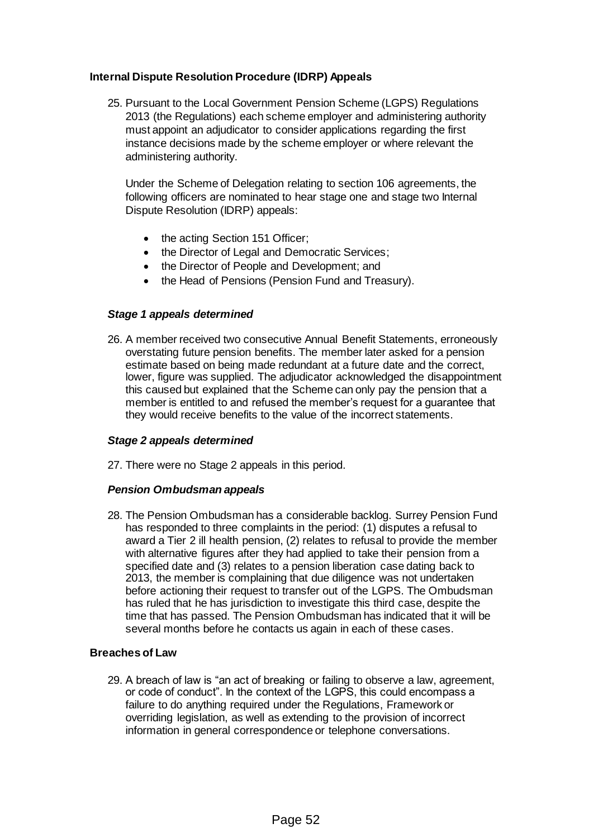### **Internal Dispute Resolution Procedure (IDRP) Appeals**

25. Pursuant to the Local Government Pension Scheme (LGPS) Regulations 2013 (the Regulations) each scheme employer and administering authority must appoint an adjudicator to consider applications regarding the first instance decisions made by the scheme employer or where relevant the administering authority.

Under the Scheme of Delegation relating to section 106 agreements, the following officers are nominated to hear stage one and stage two Internal Dispute Resolution (IDRP) appeals:

- the acting Section 151 Officer;
- the Director of Legal and Democratic Services;
- the Director of People and Development; and
- the Head of Pensions (Pension Fund and Treasury).

#### *Stage 1 appeals determined*

26. A member received two consecutive Annual Benefit Statements, erroneously overstating future pension benefits. The member later asked for a pension estimate based on being made redundant at a future date and the correct, lower, figure was supplied. The adjudicator acknowledged the disappointment this caused but explained that the Scheme can only pay the pension that a member is entitled to and refused the member's request for a guarantee that they would receive benefits to the value of the incorrect statements.

#### *Stage 2 appeals determined*

27. There were no Stage 2 appeals in this period.

#### *Pension Ombudsman appeals*

28. The Pension Ombudsman has a considerable backlog. Surrey Pension Fund has responded to three complaints in the period: (1) disputes a refusal to award a Tier 2 ill health pension, (2) relates to refusal to provide the member with alternative figures after they had applied to take their pension from a specified date and (3) relates to a pension liberation case dating back to 2013, the member is complaining that due diligence was not undertaken before actioning their request to transfer out of the LGPS. The Ombudsman has ruled that he has jurisdiction to investigate this third case, despite the time that has passed. The Pension Ombudsman has indicated that it will be several months before he contacts us again in each of these cases.

### **Breaches of Law**

29. A breach of law is "an act of breaking or failing to observe a law, agreement, or code of conduct". In the context of the LGPS, this could encompass a failure to do anything required under the Regulations, Framework or overriding legislation, as well as extending to the provision of incorrect information in general correspondence or telephone conversations.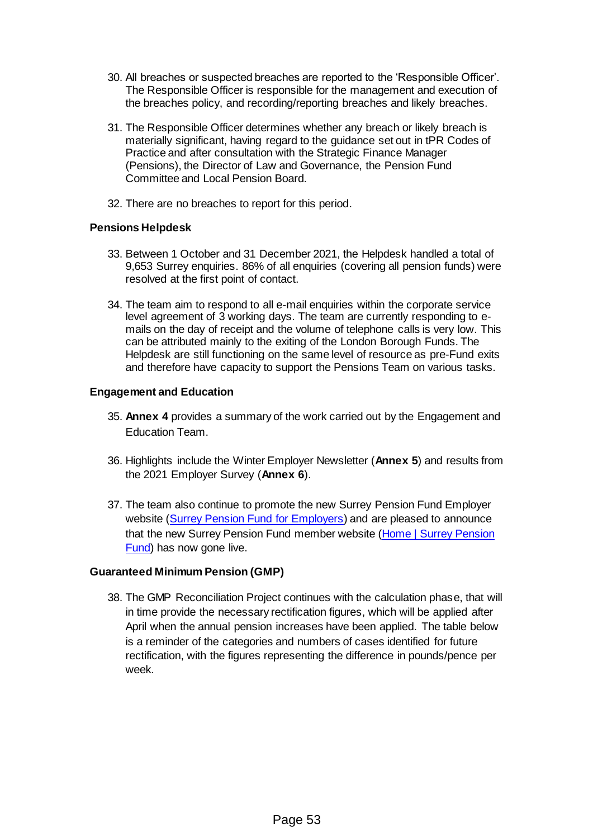- 30. All breaches or suspected breaches are reported to the 'Responsible Officer'. The Responsible Officer is responsible for the management and execution of the breaches policy, and recording/reporting breaches and likely breaches.
- 31. The Responsible Officer determines whether any breach or likely breach is materially significant, having regard to the guidance set out in tPR Codes of Practice and after consultation with the Strategic Finance Manager (Pensions), the Director of Law and Governance, the Pension Fund Committee and Local Pension Board.
- 32. There are no breaches to report for this period.

#### **Pensions Helpdesk**

- 33. Between 1 October and 31 December 2021, the Helpdesk handled a total of 9,653 Surrey enquiries. 86% of all enquiries (covering all pension funds) were resolved at the first point of contact.
- 34. The team aim to respond to all e-mail enquiries within the corporate service level agreement of 3 working days. The team are currently responding to emails on the day of receipt and the volume of telephone calls is very low. This can be attributed mainly to the exiting of the London Borough Funds. The Helpdesk are still functioning on the same level of resource as pre-Fund exits and therefore have capacity to support the Pensions Team on various tasks.

#### **Engagement and Education**

- 35. **Annex 4** provides a summary of the work carried out by the Engagement and Education Team.
- 36. Highlights include the Winter Employer Newsletter (**Annex 5**) and results from the 2021 Employer Survey (**Annex 6**).
- 37. The team also continue to promote the new Surrey Pension Fund Employer website [\(Surrey Pension Fund for Employers\)](https://employers.surreypensionfund.org.uk/) and are pleased to announce that the new Surrey Pension Fund member website (Home | Surrey Pension [Fund\)](https://www.surreypensionfund.org/) has now gone live.

#### **Guaranteed Minimum Pension (GMP)**

38. The GMP Reconciliation Project continues with the calculation phase, that will in time provide the necessary rectification figures, which will be applied after April when the annual pension increases have been applied. The table below is a reminder of the categories and numbers of cases identified for future rectification, with the figures representing the difference in pounds/pence per week.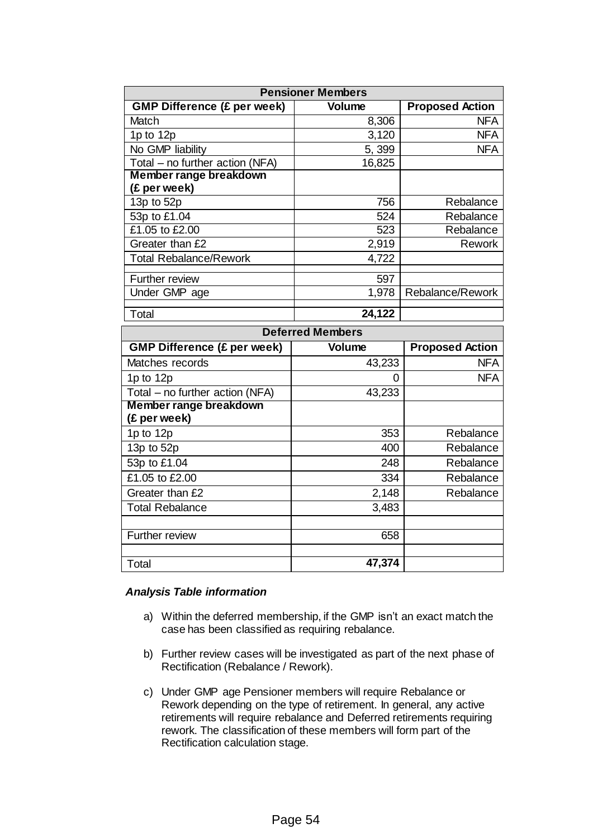| <b>Pensioner Members</b>           |               |                        |  |
|------------------------------------|---------------|------------------------|--|
| <b>GMP Difference (£ per week)</b> | <b>Volume</b> | <b>Proposed Action</b> |  |
| Match                              | 8,306         | <b>NFA</b>             |  |
| 1 $p$ to 12 $p$                    | 3,120         | <b>NFA</b>             |  |
| No GMP liability                   | 5,399         | <b>NFA</b>             |  |
| Total - no further action (NFA)    | 16,825        |                        |  |
| <b>Member range breakdown</b>      |               |                        |  |
| (£ per week)                       |               |                        |  |
| 13 $p$ to 52 $p$                   | 756           | Rebalance              |  |
| 53p to £1.04                       | 524           | Rebalance              |  |
| £1.05 to £2.00                     | 523           | Rebalance              |  |
| Greater than £2                    | 2,919         | <b>Rework</b>          |  |
| <b>Total Rebalance/Rework</b>      | 4,722         |                        |  |
| <b>Further review</b>              | 597           |                        |  |
| Under GMP age                      | 1,978         | Rebalance/Rework       |  |
| Total                              | 24,122        |                        |  |
|                                    |               |                        |  |
| <b>Deferred Members</b>            |               |                        |  |
| <b>GMP Difference (£ per week)</b> | Volume        | <b>Proposed Action</b> |  |

| <b>GMP Difference (£ per week)</b> | <b>Volume</b> | <b>Proposed Action</b> |  |
|------------------------------------|---------------|------------------------|--|
| Matches records                    | 43,233        | <b>NFA</b>             |  |
| 1 $p$ to 12 $p$                    | O             | <b>NFA</b>             |  |
| Total – no further action (NFA)    | 43,233        |                        |  |
| Member range breakdown             |               |                        |  |
| (£ per week)                       |               |                        |  |
| 1p to 12p                          | 353           | Rebalance              |  |
| 13p to 52p                         | 400           | Rebalance              |  |
| 53p to £1.04                       | 248           | Rebalance              |  |
| £1.05 to £2.00                     | 334           | Rebalance              |  |
| Greater than £2                    | 2,148         | Rebalance              |  |
| <b>Total Rebalance</b>             | 3,483         |                        |  |
|                                    |               |                        |  |
| Further review                     | 658           |                        |  |
|                                    |               |                        |  |
| Total                              | 47,374        |                        |  |

#### *Analysis Table information*

- a) Within the deferred membership, if the GMP isn't an exact match the case has been classified as requiring rebalance.
- b) Further review cases will be investigated as part of the next phase of Rectification (Rebalance / Rework).
- c) Under GMP age Pensioner members will require Rebalance or Rework depending on the type of retirement. In general, any active retirements will require rebalance and Deferred retirements requiring rework. The classification of these members will form part of the Rectification calculation stage.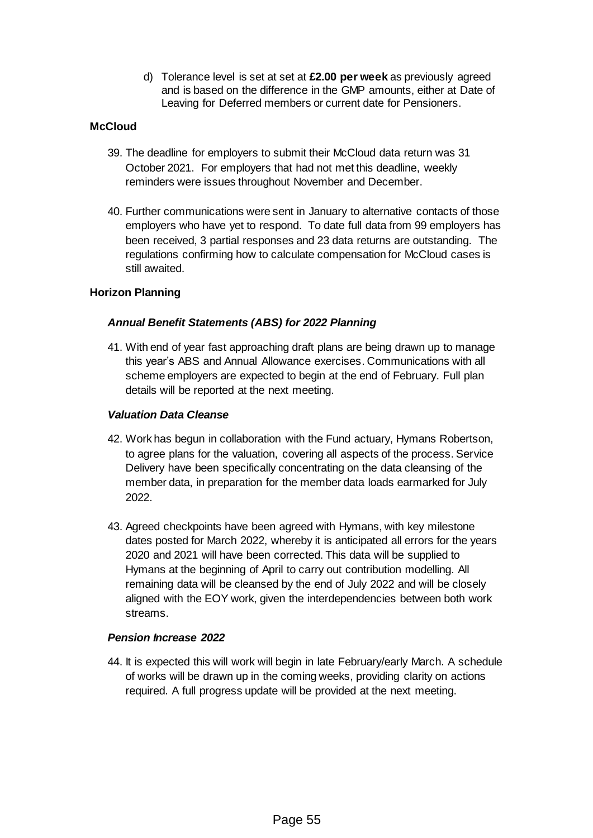d) Tolerance level is set at set at **£2.00 per week** as previously agreed and is based on the difference in the GMP amounts, either at Date of Leaving for Deferred members or current date for Pensioners.

# **McCloud**

- 39. The deadline for employers to submit their McCloud data return was 31 October 2021. For employers that had not met this deadline, weekly reminders were issues throughout November and December.
- 40. Further communications were sent in January to alternative contacts of those employers who have yet to respond. To date full data from 99 employers has been received, 3 partial responses and 23 data returns are outstanding. The regulations confirming how to calculate compensation for McCloud cases is still awaited.

# **Horizon Planning**

## *Annual Benefit Statements (ABS) for 2022 Planning*

41. With end of year fast approaching draft plans are being drawn up to manage this year's ABS and Annual Allowance exercises. Communications with all scheme employers are expected to begin at the end of February. Full plan details will be reported at the next meeting.

#### *Valuation Data Cleanse*

- 42. Work has begun in collaboration with the Fund actuary, Hymans Robertson, to agree plans for the valuation, covering all aspects of the process. Service Delivery have been specifically concentrating on the data cleansing of the member data, in preparation for the member data loads earmarked for July 2022.
- 43. Agreed checkpoints have been agreed with Hymans, with key milestone dates posted for March 2022, whereby it is anticipated all errors for the years 2020 and 2021 will have been corrected. This data will be supplied to Hymans at the beginning of April to carry out contribution modelling. All remaining data will be cleansed by the end of July 2022 and will be closely aligned with the EOY work, given the interdependencies between both work streams.

#### *Pension Increase 2022*

44. It is expected this will work will begin in late February/early March. A schedule of works will be drawn up in the coming weeks, providing clarity on actions required. A full progress update will be provided at the next meeting.